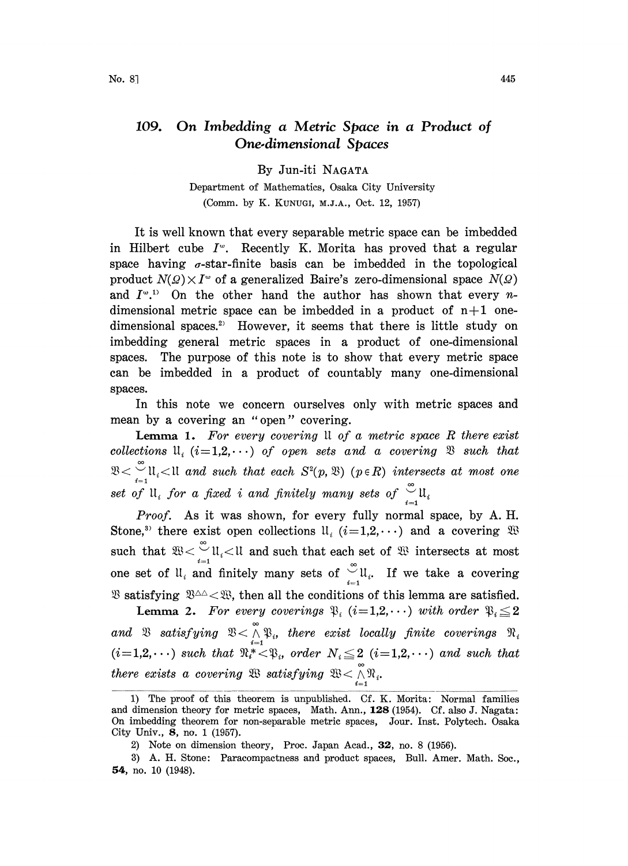## 109. On Imbedding a Metric Space in a Product of One.dimensional Spaces

By Jun-iti NAGATA

Department of Mathematics, Osaka City University (Comm. by K. KUNUGI, M.J.A., Oct. 12, 1957)

It is well known that every separable metric space can be imbedded in Hilbert cube  $I^{\omega}$ . Recently K. Morita has proved that a regular space having  $\sigma$ -star-finite basis can be imbedded in the topological product  $N(\Omega) \times I^{\omega}$  of a generalized Baire's zero-dimensional space  $N(\Omega)$ and  $I^{\omega,1}$  On the other hand the author has shown that every *n*dimensional metric space can be imbedded in a product of  $n+1$  onedimensional spaces.<sup>2)</sup> However, it seems that there is little study on imbedding general metric spaces in a product of one-dimensional spaces. The purpose of this note is to show that every metric space can be imbedded in a product of countably many one-dimensional spaces.

In this note we concern ourselves only with metric spaces and mean by a covering an "open" covering.

**Lemma 1.** For every covering  $\mathfrak u$  of a metric space R there exist collections  $\mathfrak{u}_i$  (i=1,2, $\cdots$ ) of open sets and a covering  $\mathfrak{B}$  such that  $\bigcup_{i=1}^{\infty}\mathfrak{U}_i$  and such that each  $S^2(p,\mathfrak{B})$  ( $p\in R$ ) intersects at most one set of  $\mathfrak{u}_i$  for a fixed i and finitely many sets of  $\mathfrak{u}_i$ .

Proof. As it was shown, for every fully normal space, by A. H. Stone,<sup>3)</sup> there exist open collections  $\mathfrak{U}_i$  ( $i=1,2,\cdots$ ) and a covering such that  $\mathfrak{B} < \int_{i}^{\infty} \mathfrak{U}_i < \mathfrak{U}$  and such that each set of  $\mathfrak{B}$  intersects at most one set of  $\mathfrak{u}_i$  and finitely many sets of  $\int_{i}^{\infty} \mathfrak{u}_i$ . If we take a covering  $\mathfrak{B}$  satisfying  $\mathfrak{B}^{\Delta\Delta} < \mathfrak{B}$ , then all the conditions of this lemma are satisfied.

**Lemma 2.** For every coverings  $\mathfrak{P}_i$  (i=1,2,...) with order  $\mathfrak{P}_i \leq 2$ and  $\mathfrak B$  satisfying  $\mathfrak B<\stackrel{\sim}{\wedge}\mathfrak P_i$ , there exist locally finite coverings  $(i=1,2,\cdots)$  such that  $\mathbb{R}^*_{i-1}$ , order  $N_i \leq 2$   $(i=1,2,\cdots)$  and such that there exists a covering  $\mathfrak{B}$  satisfying  $\mathfrak{B} < \bigwedge^\infty \mathfrak{N}_i$ .

<sup>1)</sup> The proof of this theorem is unpublished. Cf. K. Morita: Normal families and dimension theory for metric spaces, Math. Ann., 128 (1954). Cf. also J. Nagata: On imbedding theorem for non-separable metric spaces, Jour. Inst. Polytech. Osaka City Univ., 8, no. 1 (1957).

<sup>2)</sup> Note on dimension theory, Proc. Japan Acad., 32, no. 8 (1956).

<sup>3)</sup> A. H. Stone: Paracompactness and product spaces, Bull. Amer. Math. Soc., 54, no. 10 (1948).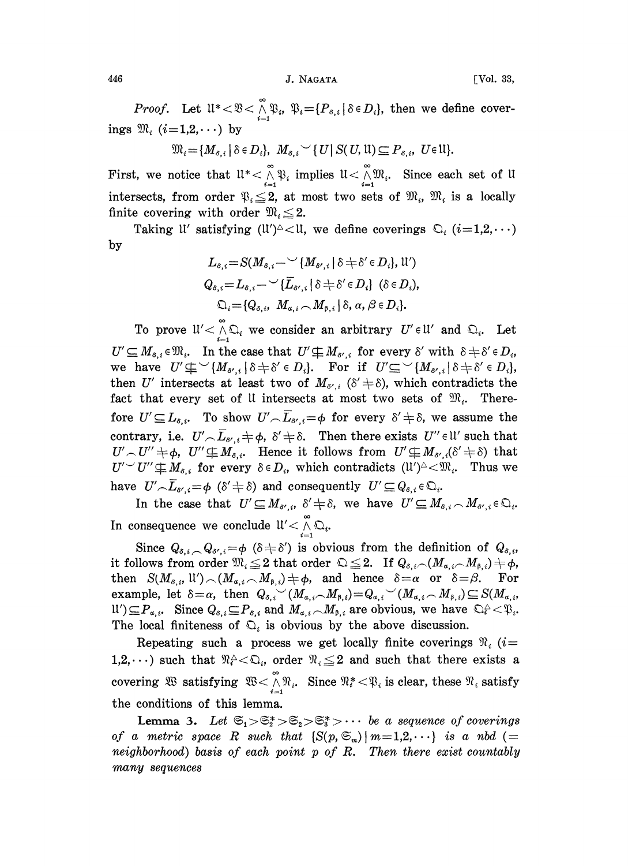446 **J. NAGATA** [Vol. 33,

*Proof.* Let  $\mathfrak{U}^* < \mathfrak{V} < \bigwedge_{i=1}^{\infty} \mathfrak{P}_i$ ,  $\mathfrak{V}_i = \{P_{s,i} | \delta \in D_i\}$ , then we define coverings  $\mathfrak{M}_i$  (i=1,2,...) by

 $\mathfrak{M}_{i} = \{M_{s,i} \mid \delta \in D_{i}\}, M_{s,i} \setminus \{U\} \leq (U, \mathfrak{U}) \subseteq P_{s,i}, U \in \mathfrak{U}\}.$ 

First, we notice that  $\mathfrak{u}^*<\bigwedge_{i=1}^{\infty} \mathfrak{P}_i$  implies  $\mathfrak{u}<\bigwedge_{i=1}^{\infty} \mathfrak{M}_i$ . Since each set of  $\mathfrak{u}$ intersects, from order  $\mathfrak{P}_i \leq 2$ , at most two sets of  $\mathfrak{M}_i$ ,  $\mathfrak{M}_i$  is a locally finite covering with order  $\mathfrak{M}_i \leq 2$ .

Taking U' satisfying  $(U')^{\triangle}$   $\lt$  U, we define coverings  $\mathbb{Q}_i$   $(i=1,2,\cdots)$ by

$$
L_{\delta,i} = S(M_{\delta,i} - \checkmark [M_{\delta',i} | \delta \neq \delta' \in D_i], \mathfrak{U}')
$$
  

$$
Q_{\delta,i} = L_{\delta,i} - \checkmark [L_{\delta',i} | \delta \neq \delta' \in D_i] (\delta \in D_i),
$$
  

$$
\mathfrak{Q}_i = \{Q_{\delta,i}, M_{\alpha,i} \cap M_{\beta,i} | \delta, \alpha, \beta \in D_i\}.
$$

To prove  $\mathfrak{U}' \leq \bigwedge_{i=1}^{\infty} \mathfrak{Q}_i$  we consider an arbitrary  $U' \in \mathfrak{U}'$  and  $\mathfrak{Q}_i$ . Let  $U' \subseteq M_{\delta,i} \in \mathfrak{M}_i$ . In the case that  $U' \not\subseteq M_{\delta',i}$  for every  $\delta'$ <br>we have  $U' \not\subseteq \langle M_{\delta',i} | \delta \neq \delta' \in D_i \rangle$ . For if  $U' \subseteq \langle \{ \} \rangle$  $U' \subseteq M_{\delta,i} \in \mathfrak{M}_i$ . In the case that  $U' \not\subseteq M_{\delta',i}$  for every  $\delta'$  with  $\delta \neq \delta' \in D_i$ ,<br>we have  $U' \not\subseteq \setminus \{M_{\delta',i} | \delta \neq \delta' \in D_i\}$ . For if  $U' \subseteq \setminus \{M_{\delta',i} | \delta \neq \delta' \in D_i\}$  $\in$   $D_i,$ then U' intersects at least two of  $M_{\delta',i}$  ( $\delta' \neq \delta$ ), which contradicts the fact that every set of U intersects at most two sets of  $\mathfrak{M}_i$ . Therefore  $U' \subseteq L_{\delta,i}$ . To show  $U' \cap \overline{L}_{\delta',i} = \phi$  for every  $\delta' \neq \delta$ , we assume the contrary, i.e.  $U' \cap \overline{L}_{s',i} \neq \emptyset$ ,  $\delta' \neq \delta$ . Then there exists  $U'' \in \mathcal{U}'$  such that  $U' \cap U'' \neq \emptyset$ ,  $U'' \not\subseteq M_{s,i}$ . Hence it follows from  $U' \not\subseteq M_{s',i}(\delta' \neq \delta)$  that  $U' \sim U'' \neq \phi$ ,  $U'' \not\subseteq M_{\delta,i}$ . Hence it follows from  $U' \not\subseteq M_{\delta',i}(\delta' \neq \delta)$  that  $U' \subset U'' \not\subseteq M_{\delta,i}$  for every  $\delta \in D_i$ , which contradicts  $(U')^{\triangle} < \mathfrak{M}_i$ . Thus we have  $U' \setminus \overline{L}_{s',i} = \phi \; (\delta' \neq \delta)$  and consequently  $U' \subseteq Q_{s,i} \in \mathfrak{Q}_{i'}$ .

In the case that  $U' \subseteq M_{\delta',i}, \delta' \neq \delta$ , we have  $U' \subseteq M_{\delta,i} \cap M_{\delta',i} \in \mathbb{Q}_i$ . In consequence we conclude  $\mathfrak{u}' \leq \bigwedge_{i=1}^{\infty} \mathfrak{Q}_i$ .

Since  $Q_{\delta,i}$ ,  $Q_{\delta',i} = \phi$  ( $\delta \neq \delta'$ ) is obvious from the definition of  $Q_{\delta,i}$ , it follows from order  $\mathfrak{M}_i \leq 2$  that order  $\mathfrak{Q} \leq 2$ . If  $Q_{\delta,i} \setminus (M_{\alpha,i} \setminus M_{\beta,i}) \neq \phi$ , then  $S(M_{\delta,i},\mathfrak{U}') \cap (M_{\alpha,i} \cap M_{\beta,i}) \neq \emptyset$ , and hence  $\delta = \alpha$  or  $\delta = \beta$ . For example, let  $\delta = \alpha$ , then  $Q_{\delta,i} \sim (M_{\alpha,i} \sim M_{\beta,i}) = Q_{\alpha,i} \sim (M_{\alpha,i} \sim M_{\beta,i}) \subseteq S(M_{\alpha,i})$  $\mathfrak{U}'\subseteq P_{\alpha,i}$ . Since  $Q_{\delta,i}\subseteq P_{\delta,i}$  and  $M_{\alpha,i}\cap M_{\beta,i}$  are obvious, we have  $\mathbb{Q}_i^{\wedge} <\mathfrak{P}_i$ . The local finiteness of  $\mathcal{D}_i$  is obvious by the above discussion.

Repeating such a process we get locally finite coverings  $\Re_i$  (*i*= 1,2,...) such that  $\mathbb{R}^{\mathbb{A}} \leq \mathbb{Q}_i$ , order  $\mathbb{R}_i \leq 2$  and such that there exists a covering  $\mathfrak{B}$  satisfying  $\mathfrak{B} < \bigwedge_{i=1}^{\infty} \mathfrak{R}_i$ . Since  $\mathfrak{R}_i < \mathfrak{P}_i$  is clear, these  $\mathfrak{R}_i$  satisfy the conditions of this lemma.

**Lemma 3.** Let  $\mathfrak{S}_1 > \mathfrak{S}_2^* > \mathfrak{S}_3 > \mathfrak{S}_3^* > \cdots$  be a sequence of coverings of a metric space R such that  $\{S(p,\mathfrak{S}_m) \mid m=1,2,\cdots\}$  is a nbd (= neighborhood) basis of each point  $p$  of  $R$ . Then there exist countably many sequences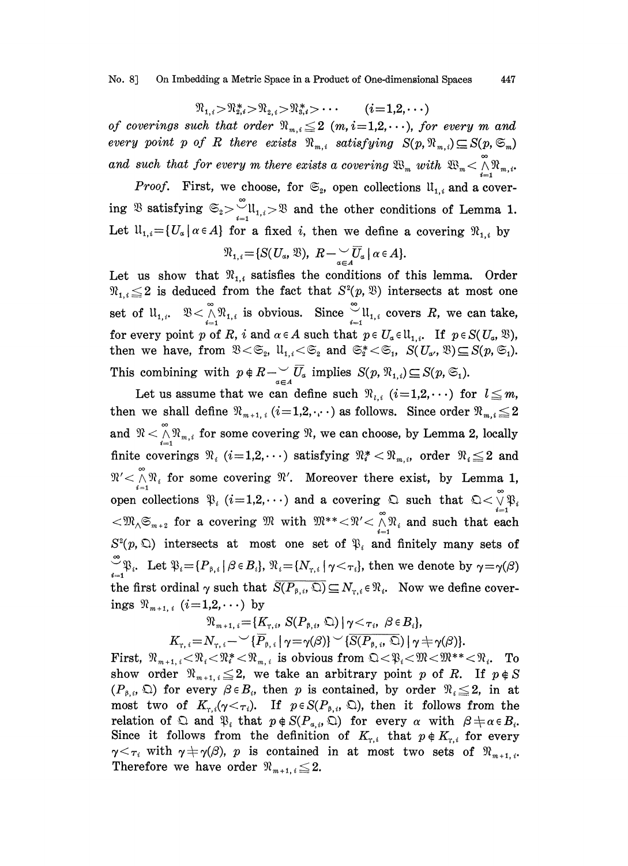No. 8] On Imbedding a Metric Space in a Product of One-dimensional Spaces 447

## $\Re_{1,i} > \Re_{2,i}^* > \Re_{2,i} > \Re_{3,i}^* > \cdots$  (*i*=1,2,...)

of coverings such that order  $\Re_{m,i} \leq 2$  (m, i=1,2,...), for every m and every point p of R there exists  $\mathfrak{N}_{m,i}$  satisfying  $S(p, \mathfrak{N}_{m,i}) \subseteq S(p, \mathfrak{S}_m)$ and such that for every m there exists a covering  $\mathfrak{B}_m$  with  $\mathfrak{B}_m < \bigwedge^{\infty} \mathfrak{R}_{m,i}$ .

*Proof.* First, we choose, for  $\mathfrak{S}_2$ , open collections  $\mathfrak{U}_{1,i}$  and a covering  $\mathfrak{B}$  satisfying  $\mathfrak{S}_2 > \bigcup_{i=1}^{\infty} \mathfrak{U}_{1,i} > \mathfrak{B}$  and the other conditions of Lemma 1. Let  $\mathfrak{U}_{1,i}=\{U_{\alpha}|\ \alpha\in A\}$  for a fixed i, then we define a covering  $\mathfrak{N}_{1,i}$  by

$$
\mathfrak{N}_{1,i} = \{ S(\mathbf{U}_{\alpha}, \mathfrak{B}), \ \mathbf{R} - \underset{\alpha \in \mathbf{A}}{\cup} \overline{\mathbf{U}}_{\alpha} \mid \alpha \in \mathbf{A} \}.
$$

Let us show that  $\mathcal{R}_{1,i}$  satisfies the conditions of this lemma. Order  $\mathfrak{R}_{1,i} \leq 2$  is deduced from the fact that  $S^2(p, \mathfrak{B})$  intersects at most one Let us show that  $\pi_{1,i}$  satisfies the conditions of this lemma. Other<br>  $\Re_{1,i} \leq 2$  is deduced from the fact that  $S^2(p, \mathcal{X})$  intersects at most one<br>
set of  $\mathfrak{U}_{1,i}$ .  $\mathcal{X} < \bigwedge_{i=1}^{\infty} \mathcal{X}_{1,i}$  is obvious. for every point p of R, i and  $\alpha \in A$  such that  $p \in U_{\alpha} \in \mathfrak{U}_{1,i}$ . If  $p \in S(U_{\alpha}, \mathfrak{B}),$ then we have, from  $\mathfrak{B} < \mathfrak{S}_2$ ,  $\mathfrak{U}_{1,i} < \mathfrak{S}_2$  and  $\mathfrak{S}_2^* < \mathfrak{S}_1$ ,  $S(U_{\alpha}, \mathfrak{B}) \subseteq S(p, \mathfrak{S}_1)$ .

This combining with  $p \notin R \to \overline{U}_a$  implies  $S(p, \mathfrak{N}_{1,i}) \subseteq S(p, \mathfrak{S}_1)$ .<br>Let us assume that we can define such  $\mathfrak{N}_{i,i}$   $(i=1,2,\cdots)$  for Combining with  $p \notin R \longrightarrow_{a \in A} C_a$  implies  $S(p, \mathcal{R}_{1,i}) \subseteq S(p, \mathcal{L}_1)$ .<br>Let us assume that we can define such  $\mathcal{R}_{i,i}$  ( $i=1,2,\cdots$ ) for  $l \leq m$ , Let us assume that we can define such  $\mathfrak{R}_{i,i}$   $(i=1,2,\cdots)$  for  $l \leq m$ ,<br>then we shall define  $\mathfrak{R}_{m+1,i}$   $(i=1,2,\cdots)$  as follows. Since order  $\mathfrak{R}_{m,i} \leq 2$ then we shall define  $\mathfrak{N}_{m+1, i}$   $(i=1,2,\cdots)$  as follows. Since order  $\mathfrak{N}_{m,i} \le 2$ <br>and  $\mathfrak{N} < \bigwedge_{i=1}^{\infty} \mathfrak{N}_{m,i}$  for some covering  $\mathfrak{N}$ , we can choose, by Lemma 2, locally and  $\mathfrak{N} < \bigwedge_{i=1}^{\infty} \mathfrak{N}_{m,i}$  for some covering  $\mathfrak{N}$ , we can choose, by Lemma 2, locally finite coverings  $\mathfrak{N}_i$  ( $i=1,2,\cdots$ ) satisfying  $\mathfrak{N}_i^* < \mathfrak{N}_{m,i}$ , order  $\mathfrak{N}_i \leq 2$  and  $\mathfrak{N}_i \leq \mathfr$  $\mathfrak{N}' \leq \bigwedge^{\infty} \mathfrak{N}_i$  for some covering  $\mathfrak{N}'$ . Moreover there exist, by Lemma 1, open collections  $\mathfrak{P}_i$  (i=1,2,...) and a covering  $\mathfrak{Q}$  such that  $\mathfrak{Q} < \overset{\circ}{\mathfrak{N}} \mathfrak{P}_i$ finite coverings  $\mathcal{R}_i$  ( $i=1,2,\cdots$ ) satisfying  $\mathcal{R}_i^* < \mathcal{R}_{m,i}$ , order  $\mathcal{R}_i \leq 2$  and  $\mathcal{R}' < \bigwedge_{i=1}^{\infty} \mathcal{R}_i$  for some covering  $\mathcal{R}'$ . Moreover there exist, by Lemma 1, open collections  $\mathfrak{P}_i$  (  $S^2(p, \mathbb{Q})$  intersects at most one set of  $\mathfrak{P}_i$  and finitely many sets of  $\mathcal{L}_{\mathcal{P}_{i}}^{\infty}$ , Let  $\mathcal{P}_{i} = \{P_{\beta,i} | \beta \in B_{i}\}\$ ,  $\mathcal{P}_{i} = \{N_{\tau,i} | \gamma \leq \tau_{i}\}\$ , then we denote by  $\gamma = \gamma(\beta)$ the first ordinal  $\gamma$  such that  $\overline{S(P_{\beta,i}, \mathbb{Q})} \subseteq N_{\gamma,i} \in \mathfrak{N}_i$ . Now we define coverings  $\Re_{m+1, i}$  (*i*=1,2,...) by

$$
\mathfrak{N}_{m+1,i} = \{K_{\tau,i}, S(P_{\beta,i}, \mathfrak{Q}) \mid \gamma < \tau_i, \beta \in B_i\},\
$$

 $K_{\tau,i} = N_{\tau,i} - \mathcal{V}\{P_{\beta,i} | \gamma = \gamma(\beta)\} \mathcal{V}\{S(P_{\beta,i},\mathfrak{Q}) | \gamma \neq \gamma(\beta)\}.$ 

First,  $\mathcal{R}_{m+1,i} < \mathcal{R}_i < \mathcal{R}_i^* < \mathcal{R}_{m,i}$  is obvious from  $\mathfrak{Q} < \mathcal{R}_i < \mathfrak{M} < \mathfrak{M}^* < \mathcal{R}_i$ . To show order  $\Re_{m+1, i} \leq 2$ , we take an arbitrary point p of R. If  $p \notin S$  $(P_{\beta,i}, \mathcal{Q})$  for every  $\beta \in B_i$ , then p is contained, by order  $\mathcal{R}_i \leq 2$ , in at most two of  $K_{\tau,i}(\gamma < \tau_i)$ . If  $p \in S(P_{\beta,i}, \Omega)$ , then it follows from the relation of  $\mathfrak{D}$  and  $\mathfrak{P}_i$  that  $p \notin S(P_{\alpha,i}, \mathfrak{D})$  for every  $\alpha$  with  $\beta \neq \alpha \in B_i$ . Since it follows from the definition of  $K_{r,i}$  that  $p \notin K_{r,i}$  for every  $\gamma \leq \tau_i$  with  $\gamma \neq \gamma(\beta)$ , p is contained in at most two sets of  $\Re_{m+1,i}$ . Therefore we have order  $\mathfrak{N}_{m+1, i} \leq 2$ .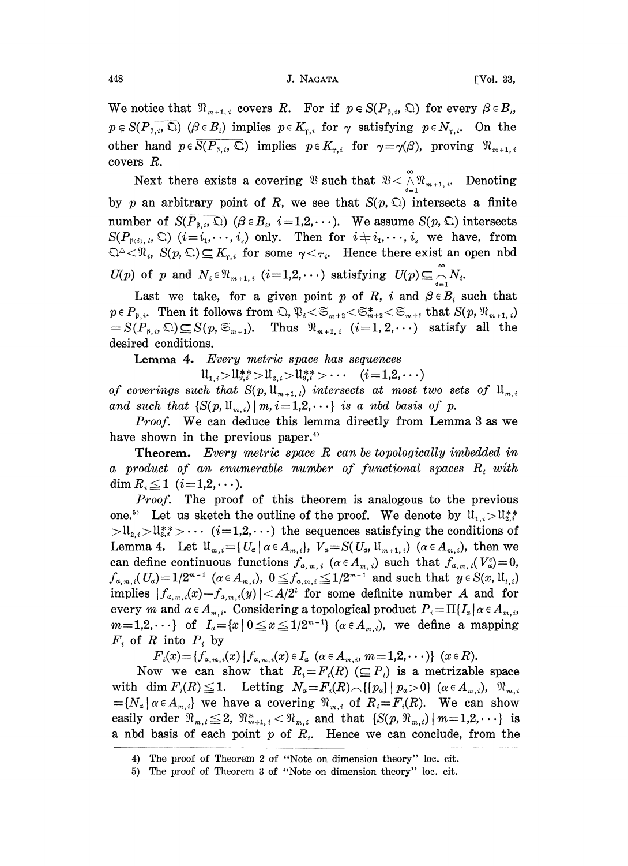We notice that  $\mathfrak{N}_{m+1,i}$  covers R. For if  $p \notin S(P_{\beta,i}, \mathbb{Q})$  for every  $\beta \in B_i$ ,  $p \notin \overline{S(P_{\beta,i}, \mathfrak{Q})}$  ( $\beta \in B_i$ ) implies  $p \in K_{\gamma,i}$  for  $\gamma$  satisfying  $p \in N_{\gamma,i}$ . On the other hand  $p \in \overline{S(P_{\beta,i}, \mathbb{C})}$  implies  $p \in K_{\gamma,i}$  for  $\gamma = \gamma(\beta)$ , proving  $\mathfrak{N}_{m+1,i}$ covers R.

Next there exists a covering  $\mathfrak{B}$  such that  $\mathfrak{B} < \bigwedge_{i=1}^{\infty} \mathfrak{R}_{m+1,i}$ . Denoting by p an arbitrary point of R, we see that  $S(p, \mathbb{Q})$  intersects a finite number of  $S(P_{\beta,i}, \mathcal{Q})$  ( $\beta \in B_i$ ,  $i=1,2,\cdots$ ). We assume  $S(p, \mathcal{Q})$  intersects  $S(P_{\beta(i), i}, \mathbb{Q})$   $(i=i_1, \dots, i_s)$  only. Then for  $i \neq i_1, \dots, i_s$  we have, from  $\mathbb{Q}^{\Delta} \leq \mathcal{R}_i$ ,  $S(p, \mathbb{Q}) \subseteq K_{r,i}$  for some  $\gamma < \tau_i$ . Hence there exist an open nbd  $U(p)$  of p and  $N_i \in \mathfrak{N}_{m+1,i}$   $(i=1, 2, \cdots)$  satisfying  $U(p) \subseteq \bigcap_{i=1}^{\infty} N_i$ .

Last we take, for a given point p of R, i and  $\beta \in B_i$  such that  $p \in P_{\beta,i}$ . Then it follows from  $\mathbb{Q}, \mathfrak{P}_i \ll \mathfrak{S}_{m+2} \ll \mathfrak{S}_{m+2}^* \ll \mathfrak{S}_{m+1}$  that  $S(p, \mathfrak{N}_{m+1,i})$  $=S(P_{\beta,i},\mathfrak{Q})\subseteq S(p,\mathfrak{S}_{m+1}).$  Thus  $\mathfrak{N}_{m+1,i}$   $(i=1,2,\cdots)$  satisfy all the desired conditions.

Lemma 4. Every metric space has sequences

 $\mathfrak{U}_{1,i} > \mathfrak{U}_{2,i}^{**} > \mathfrak{U}_{2,i} > \mathfrak{U}_{3,i}^{**} > \cdots$   $(i=1,2,\cdots)$ 

of coverings such that  $S(p, \mathfrak{U}_{m+1,i})$  intersects at most two sets of  $\mathfrak{U}_{m,i}$ and such that  $\{S(p, u_{m,i})\mid m, i=1,2,\cdots\}$  is a nbd basis of p.

Proof. We can deduce this lemma directly from Lemma 3 as we have shown in the previous paper.<sup>4)</sup>

Theorem. Every metric space R can be topologically imbedded in a product of an enumerable number of functional spaces  $R_i$  with dim  $R_i \leq 1$  ( $i=1,2,\cdots$ ).

Proof. The proof of this theorem is analogous to the previous *Proof.* The proof of this theorem is analogous to the previous one.<sup>5)</sup> Let us sketch the outline of the proof. We denote by  $\mathfrak{U}_{1,i} > \mathfrak{U}_{2,i}^{**}$  $>1$ l<sub>2,*i*</sub>  $>$ U<sub>3</sub>,<sup>\*</sup></sup> $>$  $\cdots$  (*i*=1,2, $\cdots$ ) the sequences satisfying the conditions of Lemma 4. Let  $\mathfrak{U}_{m,i} = \{ U_a \mid \alpha \in A_{m,i} \}, V_a = S(U_a, \mathfrak{U}_{m+1,i}) \ (\alpha \in A_{m,i})$ , then we can define continuous functions  $f_{\alpha, m, i}$  ( $\alpha \in A_{m, i}$ ) such that  $f_{\alpha, m, i}(V_{\alpha}^c)=0$ ,  $f_{\alpha,m,i}(U_{\alpha})=1/2^{m-1} \ \ (\alpha\in A_{m,i}), \ \ 0\leqq f_{\alpha,m,i}\leqq 1/2\ \ \text{implies} \ |f_{\alpha,m,i}(x)-f_{\alpha,m,i}(y)|< A/2^t \ \ \text{for \ some}$  $f_{\alpha,m,i}(U_{\alpha})=1/2^{m-1}$   $(\alpha \in A_{m,i}), 0 \leq f_{\alpha,m,i} \leq 1/2^{m-1}$  and such that  $y \in S(x, \mathfrak{U}_{l,i})$ <br>implies  $|f_{\alpha,m,i}(x)-f_{\alpha,m,i}(y)| < A/2^i$  for some definite number A and for every m and  $\alpha \in A_{m,i}$ . Considering a topological product  $P_i = \prod_{i} I_{\alpha} | \alpha \in A_{m,i}$ ,  $m=1,2,\dots$  of  $I_{\alpha}=[x]_0\leq x\leq 1/2^{m-1}$   $(\alpha \in A_{m,i})$ , we define a mapping  $F_i$  of R into  $P_i$  by

 ${F_i}(x) = {f_{\alpha,m,i}(x) | f_{\alpha,m,i}(x) \in I_\alpha \ (\alpha \in A_{m,i}, m=1,2,\cdots) }$   $(x \in R)$ .

Now we can show that  $R_i = F_i(R) \subseteq P_i$  is a metrizable space<br>with dim  $F_i(R) \leq 1$ . Letting  $N_a = F_i(R) \setminus \{p_a\} | p_a > 0\}$  ( $\alpha \in A_{m,i}$ ),  $\Re_{m,i}$ with dim  $F_i(R) \leq 1$ . Letting  $N_a = F_i(R) \setminus \{ \{p_a\} \mid p_a > 0 \}$  ( $\alpha \in A_{m,i}$ ),  $\mathfrak{N}_{m,i} = \{ N_a \mid \alpha \in A_{m,i} \}$  we have a covering  $\mathfrak{N}_{m,i}$  of  $R_i = F_i(R)$ . We can show easily order  $\mathfrak{R}_{m,i} \leq 2$ ,  $\mathfrak{R}_{m+1,i}^* < \mathfrak{R}_{m,i}$  and that  $\{S(p, \mathfrak{R}_{m,i}) \mid m=1,2,\cdots\}$  is a nbd basis of each point p of  $R_i$ . Hence we can conclude, from the

<sup>4)</sup> The proof of Theorem 2 of "Note on dimension theory" loc. cit.

<sup>5)</sup> The proof of Theorem 3 of "Note on dimension theory" loc. cit.